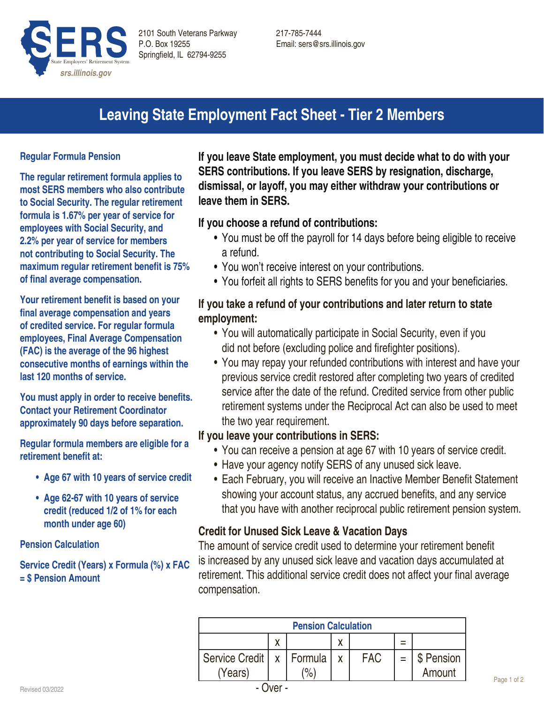

# **Leaving State Employment Fact Sheet - Tier 2 Members**

#### **Regular Formula Pension**

**The regular retirement formula applies to most SERS members who also contribute to Social Security. The regular retirement formula is 1.67% per year of service for employees with Social Security, and 2.2% per year of service for members not contributing to Social Security. The maximum regular retirement benefit is 75% of final average compensation.**

**Your retirement benefit is based on your final average compensation and years of credited service. For regular formula employees, Final Average Compensation (FAC) is the average of the 96 highest consecutive months of earnings within the last 120 months of service.** 

**You must apply in order to receive benefits. Contact your Retirement Coordinator approximately 90 days before separation.**

**Regular formula members are eligible for a retirement benefit at:**

- **• Age 67 with 10 years of service credit**
- **• Age 62-67 with 10 years of service credit (reduced 1/2 of 1% for each month under age 60)**

**Pension Calculation**

**Service Credit (Years) x Formula (%) x FAC = \$ Pension Amount**

**If you leave State employment, you must decide what to do with your SERS contributions. If you leave SERS by resignation, discharge, dismissal, or layoff, you may either withdraw your contributions or leave them in SERS.** 

#### **If you choose a refund of contributions:**

- You must be off the payroll for 14 days before being eligible to receive a refund.
- You won't receive interest on your contributions.
- You forfeit all rights to SERS benefits for you and your beneficiaries.

## **If you take a refund of your contributions and later return to state employment:**

- You will automatically participate in Social Security, even if you did not before (excluding police and firefighter positions).
- You may repay your refunded contributions with interest and have your previous service credit restored after completing two years of credited service after the date of the refund. Credited service from other public retirement systems under the Reciprocal Act can also be used to meet the two year requirement.

#### **If you leave your contributions in SERS:**

- You can receive a pension at age 67 with 10 years of service credit.
- Have your agency notify SERS of any unused sick leave.
- Each February, you will receive an Inactive Member Benefit Statement showing your account status, any accrued benefits, and any service that you have with another reciprocal public retirement pension system.

#### **Credit for Unused Sick Leave & Vacation Days**

The amount of service credit used to determine your retirement benefit is increased by any unused sick leave and vacation days accumulated at retirement. This additional service credit does not affect your final average compensation.

| <b>Pension Calculation</b> |   |               |   |            |  |            |  |
|----------------------------|---|---------------|---|------------|--|------------|--|
|                            | ν |               | χ |            |  |            |  |
| Service Credit             |   | x   Formula   |   | <b>FAC</b> |  | \$ Pension |  |
| (Years)                    |   | $\frac{1}{2}$ |   |            |  | Amount     |  |